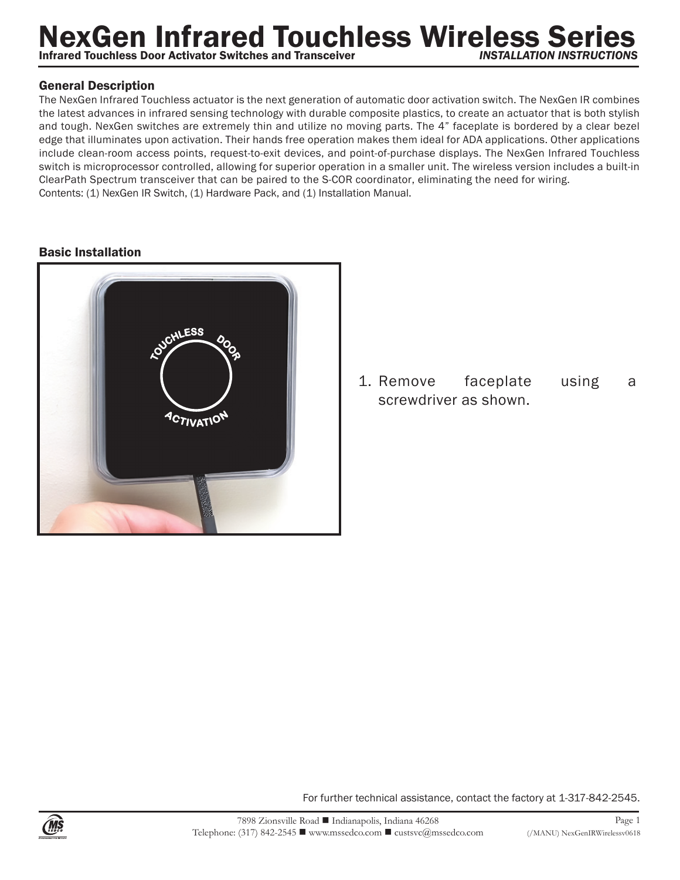## **NexGen Infrared Touchless Wireless Series Infrared Touchless Door Activator Switches and Transceiver**

## General Description

The NexGen Infrared Touchless actuator is the next generation of automatic door activation switch. The NexGen IR combines the latest advances in infrared sensing technology with durable composite plastics, to create an actuator that is both stylish and tough. NexGen switches are extremely thin and utilize no moving parts. The 4" faceplate is bordered by a clear bezel edge that illuminates upon activation. Their hands free operation makes them ideal for ADA applications. Other applications include clean-room access points, request-to-exit devices, and point-of-purchase displays. The NexGen Infrared Touchless switch is microprocessor controlled, allowing for superior operation in a smaller unit. The wireless version includes a built-in ClearPath Spectrum transceiver that can be paired to the S-COR coordinator, eliminating the need for wiring. Contents: (1) NexGen IR Switch, (1) Hardware Pack, and (1) Installation Manual.

## Basic Installation



1. Remove faceplate using a screwdriver as shown.

For further technical assistance, contact the factory at 1-317-842-2545.